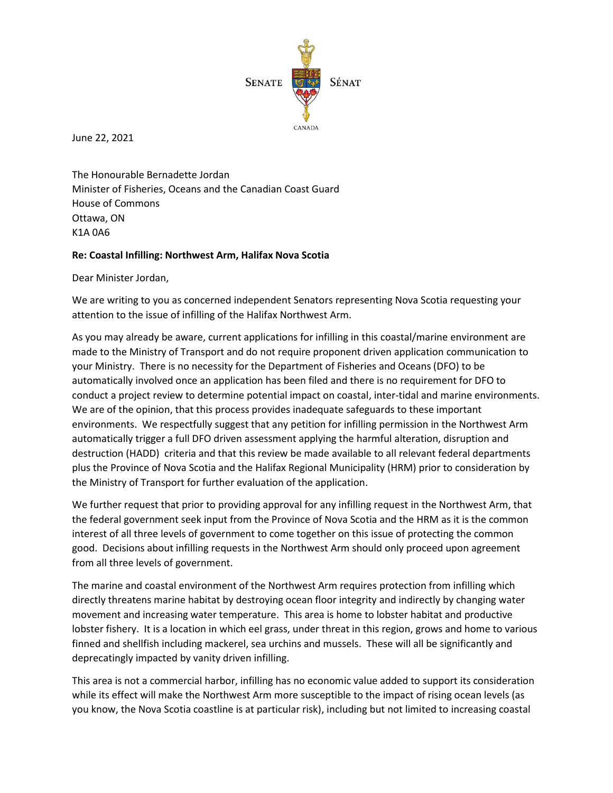

June 22, 2021

The Honourable Bernadette Jordan Minister of Fisheries, Oceans and the Canadian Coast Guard House of Commons Ottawa, ON K1A 0A6

## **Re: Coastal Infilling: Northwest Arm, Halifax Nova Scotia**

Dear Minister Jordan,

We are writing to you as concerned independent Senators representing Nova Scotia requesting your attention to the issue of infilling of the Halifax Northwest Arm.

As you may already be aware, current applications for infilling in this coastal/marine environment are made to the Ministry of Transport and do not require proponent driven application communication to your Ministry. There is no necessity for the Department of Fisheries and Oceans (DFO) to be automatically involved once an application has been filed and there is no requirement for DFO to conduct a project review to determine potential impact on coastal, inter-tidal and marine environments. We are of the opinion, that this process provides inadequate safeguards to these important environments. We respectfully suggest that any petition for infilling permission in the Northwest Arm automatically trigger a full DFO driven assessment applying the harmful alteration, disruption and destruction (HADD) criteria and that this review be made available to all relevant federal departments plus the Province of Nova Scotia and the Halifax Regional Municipality (HRM) prior to consideration by the Ministry of Transport for further evaluation of the application.

We further request that prior to providing approval for any infilling request in the Northwest Arm, that the federal government seek input from the Province of Nova Scotia and the HRM as it is the common interest of all three levels of government to come together on this issue of protecting the common good. Decisions about infilling requests in the Northwest Arm should only proceed upon agreement from all three levels of government.

The marine and coastal environment of the Northwest Arm requires protection from infilling which directly threatens marine habitat by destroying ocean floor integrity and indirectly by changing water movement and increasing water temperature. This area is home to lobster habitat and productive lobster fishery. It is a location in which eel grass, under threat in this region, grows and home to various finned and shellfish including mackerel, sea urchins and mussels. These will all be significantly and deprecatingly impacted by vanity driven infilling.

This area is not a commercial harbor, infilling has no economic value added to support its consideration while its effect will make the Northwest Arm more susceptible to the impact of rising ocean levels (as you know, the Nova Scotia coastline is at particular risk), including but not limited to increasing coastal